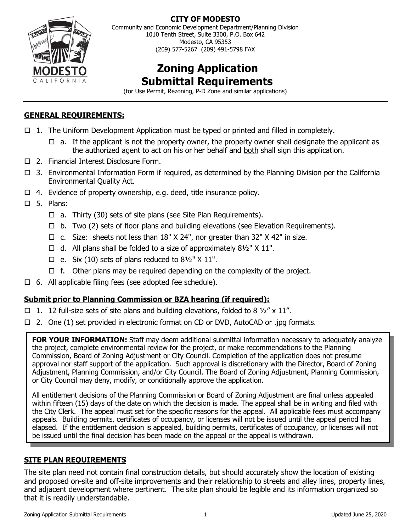

**CITY OF MODESTO**

Community and Economic Development Department/Planning Division 1010 Tenth Street, Suite 3300, P.O. Box 642 Modesto, CA 95353 (209) 577-5267 (209) 491-5798 FAX

# **Zoning Application Submittal Requirements**

(for Use Permit, Rezoning, P-D Zone and similar applications)

## **GENERAL REQUIREMENTS:**

- $\Box$  1. The Uniform Development Application must be typed or printed and filled in completely.
	- $\Box$  a. If the applicant is not the property owner, the property owner shall designate the applicant as the authorized agent to act on his or her behalf and both shall sign this application.
- □ 2. Financial Interest Disclosure Form.
- $\Box$  3. Environmental Information Form if required, as determined by the Planning Division per the California Environmental Quality Act.
- $\Box$  4. Evidence of property ownership, e.g. deed, title insurance policy.
- $\square$  5. Plans:
	- $\Box$  a. Thirty (30) sets of site plans (see Site Plan Requirements).
	- $\Box$  b. Two (2) sets of floor plans and building elevations (see Elevation Requirements).
	- $\Box$  c. Size: sheets not less than 18" X 24", nor greater than 32" X 42" in size.
	- $\Box$  d. All plans shall be folded to a size of approximately 81/2" X 11".
	- $\Box$  e. Six (10) sets of plans reduced to 81/2" X 11".
	- $\Box$  f. Other plans may be required depending on the complexity of the project.
- $\Box$  6. All applicable filing fees (see adopted fee schedule).

## **Submit prior to Planning Commission or BZA hearing (if required):**

- □ 1. 12 full-size sets of site plans and building elevations, folded to 8  $\frac{1}{2}$  x 11".
- $\Box$  2. One (1) set provided in electronic format on CD or DVD, AutoCAD or .jpg formats.

**FOR YOUR INFORMATION:** Staff may deem additional submittal information necessary to adequately analyze the project, complete environmental review for the project, or make recommendations to the Planning Commission, Board of Zoning Adjustment or City Council. Completion of the application does not presume approval nor staff support of the application. Such approval is discretionary with the Director, Board of Zoning Adjustment, Planning Commission, and/or City Council. The Board of Zoning Adjustment, Planning Commission, or City Council may deny, modify, or conditionally approve the application.

All entitlement decisions of the Planning Commission or Board of Zoning Adjustment are final unless appealed within fifteen (15) days of the date on which the decision is made. The appeal shall be in writing and filed with the City Clerk. The appeal must set for the specific reasons for the appeal. All applicable fees must accompany appeals. Building permits, certificates of occupancy, or licenses will not be issued until the appeal period has elapsed. If the entitlement decision is appealed, building permits, certificates of occupancy, or licenses will not be issued until the final decision has been made on the appeal or the appeal is withdrawn.

## **SITE PLAN REQUIREMENTS**

The site plan need not contain final construction details, but should accurately show the location of existing and proposed on-site and off-site improvements and their relationship to streets and alley lines, property lines, and adjacent development where pertinent. The site plan should be legible and its information organized so that it is readily understandable.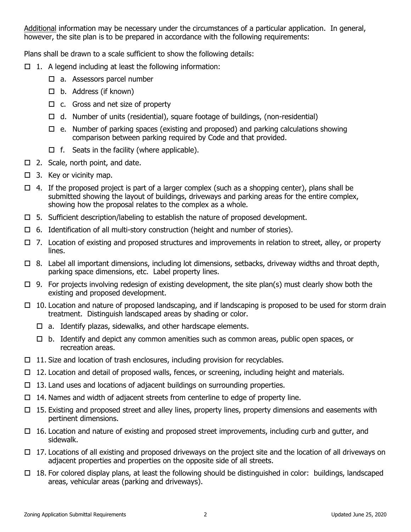Additional information may be necessary under the circumstances of a particular application. In general, however, the site plan is to be prepared in accordance with the following requirements:

Plans shall be drawn to a scale sufficient to show the following details:

- $\Box$  1. A legend including at least the following information:
	- □ a. Assessors parcel number
	- $\Box$  b. Address (if known)
	- $\Box$  c. Gross and net size of property
	- $\Box$  d. Number of units (residential), square footage of buildings, (non-residential)
	- $\Box$  e. Number of parking spaces (existing and proposed) and parking calculations showing comparison between parking required by Code and that provided.
	- $\Box$  f. Seats in the facility (where applicable).
- □ 2. Scale, north point, and date.
- $\Box$  3. Key or vicinity map.
- $\Box$  4. If the proposed project is part of a larger complex (such as a shopping center), plans shall be submitted showing the layout of buildings, driveways and parking areas for the entire complex, showing how the proposal relates to the complex as a whole.
- $\square$  5. Sufficient description/labeling to establish the nature of proposed development.
- $\Box$  6. Identification of all multi-story construction (height and number of stories).
- $\Box$  7. Location of existing and proposed structures and improvements in relation to street, alley, or property lines.
- $\Box$  8. Label all important dimensions, including lot dimensions, setbacks, driveway widths and throat depth, parking space dimensions, etc. Label property lines.
- $\Box$  9. For projects involving redesign of existing development, the site plan(s) must clearly show both the existing and proposed development.
- $\Box$  10. Location and nature of proposed landscaping, and if landscaping is proposed to be used for storm drain treatment. Distinguish landscaped areas by shading or color.
	- $\Box$  a. Identify plazas, sidewalks, and other hardscape elements.
	- $\Box$  b. Identify and depict any common amenities such as common areas, public open spaces, or recreation areas.
- $\Box$  11. Size and location of trash enclosures, including provision for recyclables.
- $\Box$  12. Location and detail of proposed walls, fences, or screening, including height and materials.
- $\Box$  13. Land uses and locations of adjacent buildings on surrounding properties.
- $\Box$  14. Names and width of adjacent streets from centerline to edge of property line.
- $\Box$  15. Existing and proposed street and alley lines, property lines, property dimensions and easements with pertinent dimensions.
- $\Box$  16. Location and nature of existing and proposed street improvements, including curb and gutter, and sidewalk.
- $\Box$  17. Locations of all existing and proposed driveways on the project site and the location of all driveways on adjacent properties and properties on the opposite side of all streets.
- $\Box$  18. For colored display plans, at least the following should be distinguished in color: buildings, landscaped areas, vehicular areas (parking and driveways).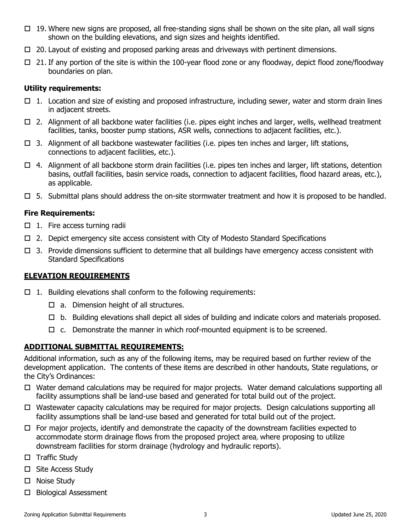- $\Box$  19. Where new signs are proposed, all free-standing signs shall be shown on the site plan, all wall signs shown on the building elevations, and sign sizes and heights identified.
- $\Box$  20. Layout of existing and proposed parking areas and driveways with pertinent dimensions.
- 21. If any portion of the site is within the 100-year flood zone or any floodway, depict flood zone/floodway boundaries on plan.

#### **Utility requirements:**

- $\Box$  1. Location and size of existing and proposed infrastructure, including sewer, water and storm drain lines in adjacent streets.
- $\Box$  2. Alignment of all backbone water facilities (i.e. pipes eight inches and larger, wells, wellhead treatment facilities, tanks, booster pump stations, ASR wells, connections to adjacent facilities, etc.).
- $\Box$  3. Alignment of all backbone wastewater facilities (i.e. pipes ten inches and larger, lift stations, connections to adjacent facilities, etc.).
- $\Box$  4. Alignment of all backbone storm drain facilities (i.e. pipes ten inches and larger, lift stations, detention basins, outfall facilities, basin service roads, connection to adjacent facilities, flood hazard areas, etc.), as applicable.
- $\Box$  5. Submittal plans should address the on-site stormwater treatment and how it is proposed to be handled.

#### **Fire Requirements:**

- $\Box$  1. Fire access turning radii
- $\Box$  2. Depict emergency site access consistent with City of Modesto Standard Specifications
- $\Box$  3. Provide dimensions sufficient to determine that all buildings have emergency access consistent with Standard Specifications

## **ELEVATION REQUIREMENTS**

- $\Box$  1. Building elevations shall conform to the following requirements:
	- $\Box$  a. Dimension height of all structures.
	- $\Box$  b. Building elevations shall depict all sides of building and indicate colors and materials proposed.
	- $\Box$  c. Demonstrate the manner in which roof-mounted equipment is to be screened.

## **ADDITIONAL SUBMITTAL REQUIREMENTS:**

Additional information, such as any of the following items, may be required based on further review of the development application. The contents of these items are described in other handouts, State regulations, or the City's Ordinances:

- $\Box$  Water demand calculations may be required for major projects. Water demand calculations supporting all facility assumptions shall be land-use based and generated for total build out of the project.
- $\Box$  Wastewater capacity calculations may be required for major projects. Design calculations supporting all facility assumptions shall be land-use based and generated for total build out of the project.
- $\Box$  For major projects, identify and demonstrate the capacity of the downstream facilities expected to accommodate storm drainage flows from the proposed project area, where proposing to utilize downstream facilities for storm drainage (hydrology and hydraulic reports).
- $\Box$  Traffic Study
- □ Site Access Study
- □ Noise Study
- □ Biological Assessment